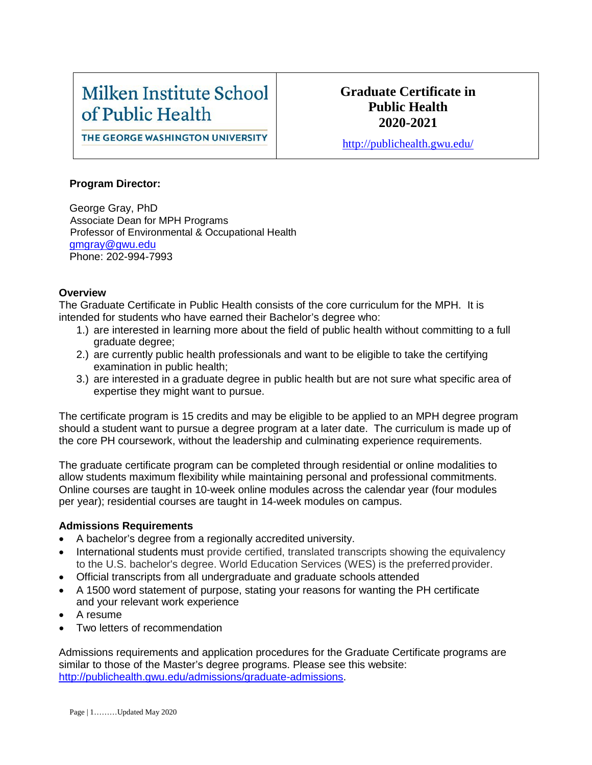# Milken Institute School of Public Health

### **Graduate Certificate in Public Health 2020-2021**

THE GEORGE WASHINGTON UNIVERSITY

<http://publichealth.gwu.edu/>

#### **Program Director:**

George Gray, PhD Associate Dean for MPH Programs Professor of Environmental & Occupational Health [gmgray@gwu.edu](mailto:gmgray@gwu.edu) Phone: 202-994-7993

#### **Overview**

The Graduate Certificate in Public Health consists of the core curriculum for the MPH. It is intended for students who have earned their Bachelor's degree who:

- 1.) are interested in learning more about the field of public health without committing to a full graduate degree;
- 2.) are currently public health professionals and want to be eligible to take the certifying examination in public health;
- 3.) are interested in a graduate degree in public health but are not sure what specific area of expertise they might want to pursue.

The certificate program is 15 credits and may be eligible to be applied to an MPH degree program should a student want to pursue a degree program at a later date. The curriculum is made up of the core PH coursework, without the leadership and culminating experience requirements.

The graduate certificate program can be completed through residential or online modalities to allow students maximum flexibility while maintaining personal and professional commitments. Online courses are taught in 10-week online modules across the calendar year (four modules per year); residential courses are taught in 14-week modules on campus.

#### **Admissions Requirements**

- A bachelor's degree from a regionally accredited university.
- International students must provide certified, translated transcripts showing the equivalency to the U.S. bachelor's degree. World Education Services (WES) is the preferredprovider.
- Official transcripts from all undergraduate and graduate schools attended
- A 1500 word statement of purpose, stating your reasons for wanting the PH certificate and your relevant work experience
- A resume
- Two letters of recommendation

Admissions requirements and application procedures for the Graduate Certificate programs are similar to those of the Master's degree programs. Please see this website: [http://publichealth.gwu.edu/admissions/graduate-admissions.](http://publichealth.gwu.edu/admissions/graduate-admissions)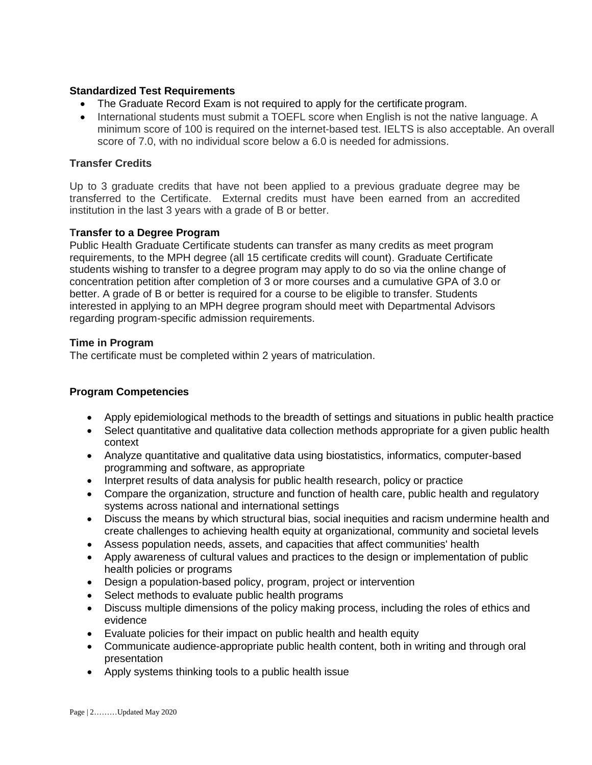#### **Standardized Test Requirements**

- The Graduate Record Exam is not required to apply for the certificate program.
- International students must submit a TOEFL score when English is not the native language. A minimum score of 100 is required on the internet-based test. IELTS is also acceptable. An overall score of 7.0, with no individual score below a 6.0 is needed for admissions.

#### **Transfer Credits**

Up to 3 graduate credits that have not been applied to a previous graduate degree may be transferred to the Certificate. External credits must have been earned from an accredited institution in the last 3 years with a grade of B or better.

#### **Transfer to a Degree Program**

Public Health Graduate Certificate students can transfer as many credits as meet program requirements, to the MPH degree (all 15 certificate credits will count). Graduate Certificate students wishing to transfer to a degree program may apply to do so via the online change of concentration petition after completion of 3 or more courses and a cumulative GPA of 3.0 or better. A grade of B or better is required for a course to be eligible to transfer. Students interested in applying to an MPH degree program should meet with Departmental Advisors regarding program-specific admission requirements.

#### **Time in Program**

The certificate must be completed within 2 years of matriculation.

#### **Program Competencies**

- Apply epidemiological methods to the breadth of settings and situations in public health practice
- Select quantitative and qualitative data collection methods appropriate for a given public health context
- Analyze quantitative and qualitative data using biostatistics, informatics, computer-based programming and software, as appropriate
- Interpret results of data analysis for public health research, policy or practice
- Compare the organization, structure and function of health care, public health and regulatory systems across national and international settings
- Discuss the means by which structural bias, social inequities and racism undermine health and create challenges to achieving health equity at organizational, community and societal levels
- Assess population needs, assets, and capacities that affect communities' health
- Apply awareness of cultural values and practices to the design or implementation of public health policies or programs
- Design a population-based policy, program, project or intervention
- Select methods to evaluate public health programs
- Discuss multiple dimensions of the policy making process, including the roles of ethics and evidence
- Evaluate policies for their impact on public health and health equity
- Communicate audience-appropriate public health content, both in writing and through oral presentation
- Apply systems thinking tools to a public health issue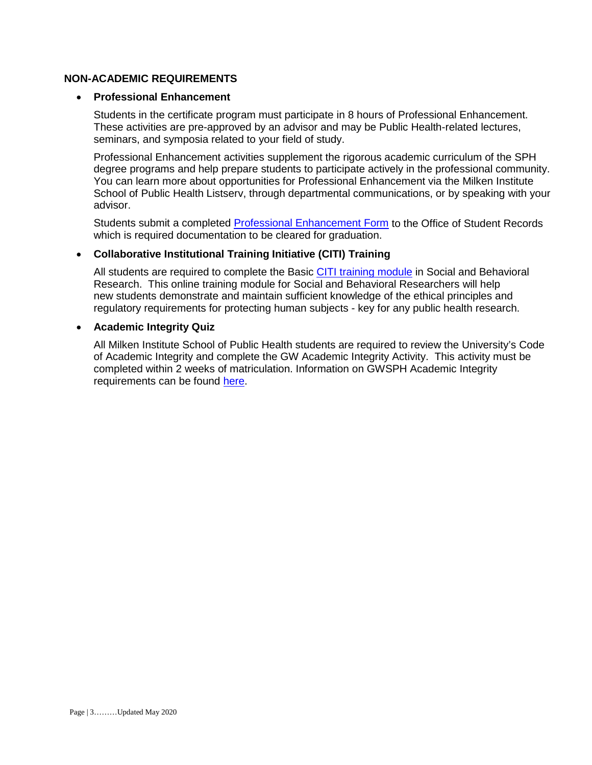#### **NON-ACADEMIC REQUIREMENTS**

#### • **Professional Enhancement**

Students in the certificate program must participate in 8 hours of Professional Enhancement. These activities are pre-approved by an advisor and may be Public Health-related lectures, seminars, and symposia related to your field of study.

Professional Enhancement activities supplement the rigorous academic curriculum of the SPH degree programs and help prepare students to participate actively in the professional community. You can learn more about opportunities for Professional Enhancement via the Milken Institute School of Public Health Listserv, through departmental communications, or by speaking with your advisor.

Students submit a completed **[Professional Enhancement Form](http://publichealth.gwu.edu/academics/forms)** to the Office of Student Records which is required documentation to be cleared for graduation.

#### • **Collaborative Institutional Training Initiative (CITI) Training**

All students are required to complete the Basic [CITI training module](http://www.citiprogram.org/) in Social and Behavioral Research. This online training module for Social and Behavioral Researchers will help new students demonstrate and maintain sufficient knowledge of the ethical principles and regulatory requirements for protecting human subjects - key for any public health research.

#### • **Academic Integrity Quiz**

All Milken Institute School of Public Health students are required to review the University's Code of Academic Integrity and complete the GW Academic Integrity Activity. This activity must be completed within 2 weeks of matriculation. Information on GWSPH Academic Integrity requirements can be found [here.](http://publichealth.gwu.edu/integrity)